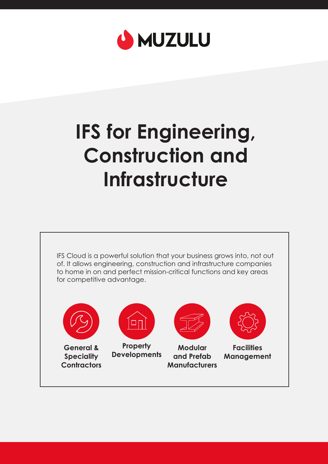

# **IFS for Engineering, Construction and Infrastructure**

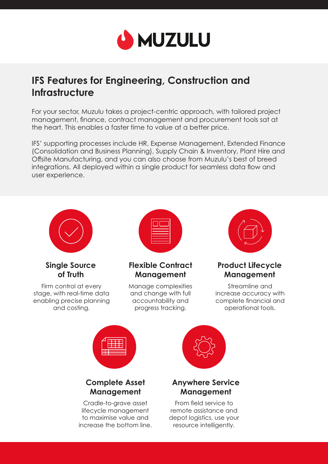

# **IFS Features for Engineering, Construction and Infrastructure**

For your sector, Muzulu takes a project-centric approach, with tailored project management, finance, contract management and procurement tools sat at the heart. This enables a faster time to value at a better price.

IFS' supporting processes include HR, Expense Management, Extended Finance (Consolidation and Business Planning), Supply Chain & Inventory, Plant Hire and Offsite Manufacturing, and you can also choose from Muzulu's best of breed integrations. All deployed within a single product for seamless data flow and user experience.



#### **Single Source of Truth**

Firm control at every stage, with real-time data enabling precise planning and costing.



#### **Flexible Contract Management**

Manage complexities and change with full accountability and progress tracking.



## **Product Lifecycle Management**

Streamline and increase accuracy with complete financial and operational tools.



## **Complete Asset Management**

Cradle-to-grave asset lifecycle management to maximise value and increase the bottom line.



#### **Anywhere Service Management**

From field service to remote assistance and depot logistics, use your resource intelligently.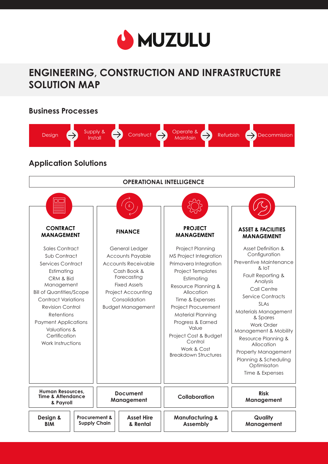

# **ENGINEERING, CONSTRUCTION AND INFRASTRUCTURE SOLUTION MAP**

#### **Business Processes**



## **Application Solutions**